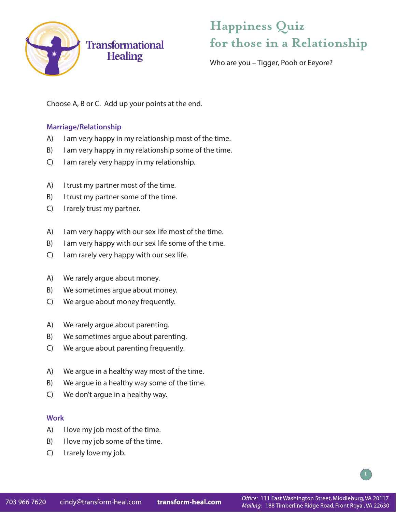

# **Happiness Quiz for those in a Relationship**

Who are you – Tigger, Pooh or Eeyore?

Choose A, B or C. Add up your points at the end.

### **Marriage/Relationship**

- A) I am very happy in my relationship most of the time.
- B) I am very happy in my relationship some of the time.
- C) I am rarely very happy in my relationship.
- A) I trust my partner most of the time.
- B) I trust my partner some of the time.
- C) I rarely trust my partner.
- A) I am very happy with our sex life most of the time.
- B) I am very happy with our sex life some of the time.
- C) I am rarely very happy with our sex life.
- A) We rarely argue about money.
- B) We sometimes argue about money.
- C) We argue about money frequently.
- A) We rarely argue about parenting.
- B) We sometimes argue about parenting.
- C) We argue about parenting frequently.
- A) We argue in a healthy way most of the time.
- B) We argue in a healthy way some of the time.
- C) We don't argue in a healthy way.

### **Work**

- A) I love my job most of the time.
- B) I love my job some of the time.
- C) I rarely love my job.

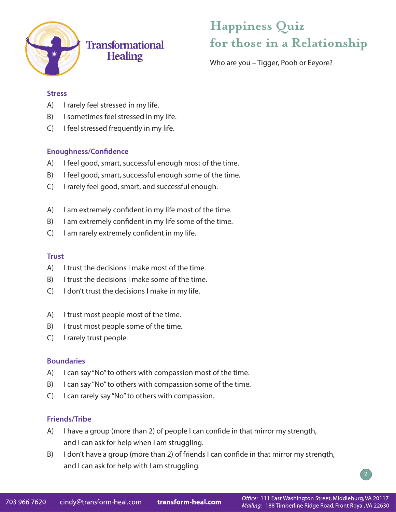

## **Transformational Healing**

# **Happiness Quiz for those in a Relationship**

Who are you – Tigger, Pooh or Eeyore?

#### **Stress**

- A) I rarely feel stressed in my life.
- B) I sometimes feel stressed in my life.
- C) I feel stressed frequently in my life.

### **Enoughness/Confidence**

- A) I feel good, smart, successful enough most of the time.
- B) I feel good, smart, successful enough some of the time.
- C) I rarely feel good, smart, and successful enough.
- A) I am extremely confident in my life most of the time.
- B) I am extremely confident in my life some of the time.
- C) I am rarely extremely confident in my life.

### **Trust**

- A) I trust the decisions I make most of the time.
- B) I trust the decisions I make some of the time.
- C) I don't trust the decisions I make in my life.
- A) I trust most people most of the time.
- B) I trust most people some of the time.
- C) I rarely trust people.

#### **Boundaries**

- A) I can say "No" to others with compassion most of the time.
- B) I can say "No" to others with compassion some of the time.
- C) I can rarely say "No" to others with compassion.

#### **Friends/Tribe**

- A) I have a group (more than 2) of people I can confide in that mirror my strength, and I can ask for help when I am struggling.
- B) I don't have a group (more than 2) of friends I can confide in that mirror my strength, and I can ask for help with I am struggling.

**2**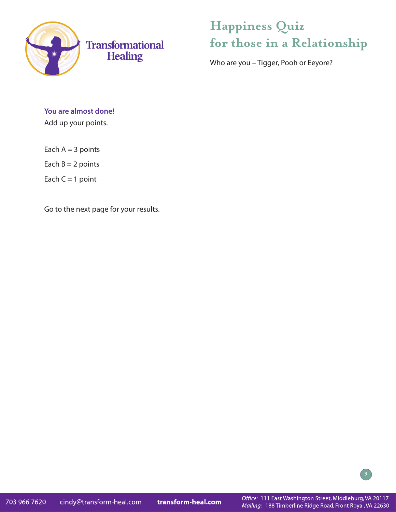

# **Happiness Quiz for those in a Relationship**

Who are you – Tigger, Pooh or Eeyore?

## **You are almost done!**

Add up your points.

Each  $A = 3$  points

Each  $B = 2$  points

Each  $C = 1$  point

Go to the next page for your results.